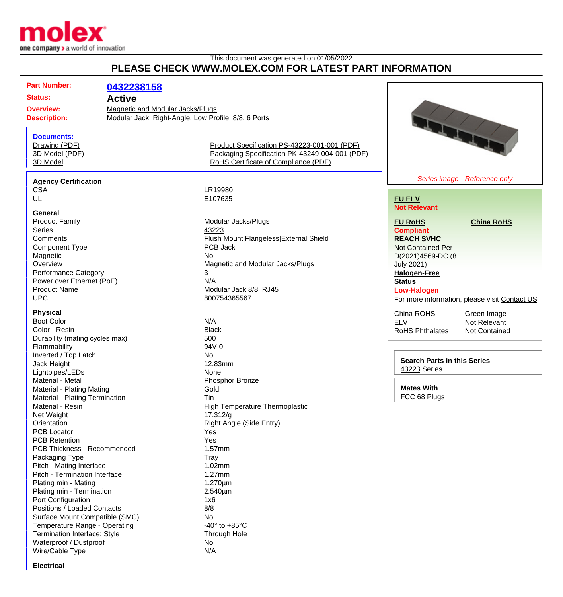

## This document was generated on 01/05/2022 **PLEASE CHECK WWW.MOLEX.COM FOR LATEST PART INFORMATION**

| <b>Part Number:</b><br><b>Status:</b><br><b>Active</b> | 0432238158                                                                                      |                                                |
|--------------------------------------------------------|-------------------------------------------------------------------------------------------------|------------------------------------------------|
| <b>Overview:</b><br><b>Description:</b>                | <b>Magnetic and Modular Jacks/Plugs</b><br>Modular Jack, Right-Angle, Low Profile, 8/8, 6 Ports |                                                |
| <b>Documents:</b><br>Drawing (PDF)<br>3D Model (PDF)   | Product Specification PS-43223-001-001 (PDF)<br>Packaging Specification PK-43249-004-001 (PDF)  | <b>STARTES</b>                                 |
| 3D Model                                               | RoHS Certificate of Compliance (PDF)                                                            |                                                |
| <b>Agency Certification</b>                            |                                                                                                 | Series image - Reference only                  |
| <b>CSA</b>                                             | LR19980                                                                                         |                                                |
| UL                                                     | E107635                                                                                         | <b>EU ELV</b>                                  |
|                                                        |                                                                                                 | <b>Not Relevant</b>                            |
| <b>General</b><br><b>Product Family</b>                |                                                                                                 |                                                |
|                                                        | Modular Jacks/Plugs                                                                             | <b>EU RoHS</b><br><b>China RoHS</b>            |
| <b>Series</b>                                          | 43223                                                                                           | <b>Compliant</b>                               |
| Comments                                               | Flush Mount Flangeless External Shield                                                          | <b>REACH SVHC</b>                              |
| Component Type                                         | PCB Jack                                                                                        | Not Contained Per -                            |
| Magnetic                                               | <b>No</b>                                                                                       | D(2021)4569-DC (8                              |
| Overview                                               | Magnetic and Modular Jacks/Plugs                                                                | <b>July 2021)</b>                              |
| <b>Performance Category</b>                            | 3                                                                                               | <b>Halogen-Free</b>                            |
| Power over Ethernet (PoE)                              | N/A                                                                                             | <b>Status</b>                                  |
| <b>Product Name</b>                                    | Modular Jack 8/8, RJ45                                                                          | <b>Low-Halogen</b>                             |
| <b>UPC</b>                                             | 800754365567                                                                                    | For more information, please visit Contact US  |
|                                                        |                                                                                                 |                                                |
| <b>Physical</b>                                        |                                                                                                 | China ROHS<br>Green Image                      |
| <b>Boot Color</b>                                      | N/A                                                                                             | <b>ELV</b><br>Not Relevant                     |
| Color - Resin                                          | <b>Black</b>                                                                                    | <b>RoHS Phthalates</b><br><b>Not Contained</b> |
| Durability (mating cycles max)                         | 500                                                                                             |                                                |
| Flammability                                           | 94V-0                                                                                           |                                                |
| Inverted / Top Latch                                   | No                                                                                              |                                                |
| Jack Height                                            | 12.83mm                                                                                         | <b>Search Parts in this Series</b>             |
| Lightpipes/LEDs                                        | None                                                                                            | 43223 Series                                   |
| Material - Metal                                       | Phosphor Bronze                                                                                 |                                                |
| <b>Material - Plating Mating</b>                       | Gold                                                                                            | <b>Mates With</b>                              |
| Material - Plating Termination                         | Tin                                                                                             | FCC 68 Plugs                                   |
| Material - Resin                                       | High Temperature Thermoplastic                                                                  |                                                |
| Net Weight                                             | 17.312/g                                                                                        |                                                |
| Orientation                                            |                                                                                                 |                                                |
|                                                        | Right Angle (Side Entry)                                                                        |                                                |
| <b>PCB Locator</b>                                     | Yes                                                                                             |                                                |
| <b>PCB Retention</b>                                   | Yes                                                                                             |                                                |
| PCB Thickness - Recommended                            | 1.57mm                                                                                          |                                                |
| Packaging Type                                         | Tray                                                                                            |                                                |
| Pitch - Mating Interface                               | 1.02mm                                                                                          |                                                |
| Pitch - Termination Interface                          | $1.27$ mm                                                                                       |                                                |
| Plating min - Mating                                   | $1.270 \mu m$                                                                                   |                                                |
| Plating min - Termination                              | $2.540 \mu m$                                                                                   |                                                |
| Port Configuration                                     | 1x6                                                                                             |                                                |
| Positions / Loaded Contacts                            | 8/8                                                                                             |                                                |
| Surface Mount Compatible (SMC)                         | No                                                                                              |                                                |
| Temperature Range - Operating                          | -40 $\degree$ to +85 $\degree$ C                                                                |                                                |
| Termination Interface: Style                           | Through Hole                                                                                    |                                                |
|                                                        |                                                                                                 |                                                |
| Waterproof / Dustproof                                 | No                                                                                              |                                                |
| Wire/Cable Type                                        | N/A                                                                                             |                                                |
| <b>Electrical</b>                                      |                                                                                                 |                                                |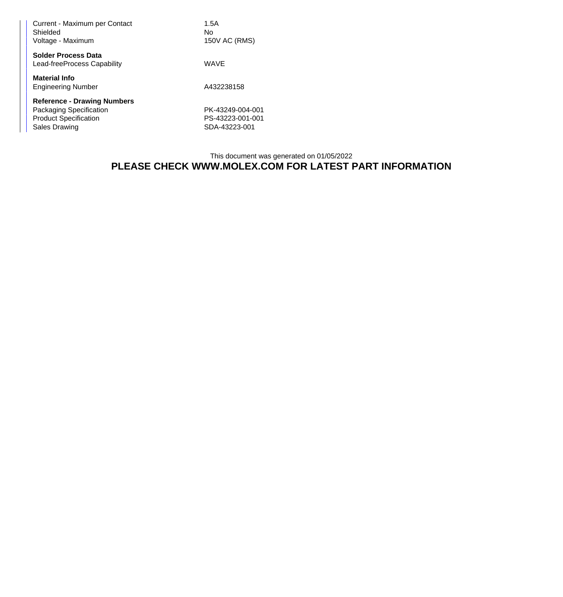| Current - Maximum per Contact<br>Shielded<br>Voltage - Maximum | 1.5A<br>No<br>150V AC (RMS) |  |  |
|----------------------------------------------------------------|-----------------------------|--|--|
| <b>Solder Process Data</b><br>Lead-freeProcess Capability      | WAVE                        |  |  |
| <b>Material Info</b><br><b>Engineering Number</b>              | A432238158                  |  |  |
| <b>Reference - Drawing Numbers</b>                             |                             |  |  |
| Packaging Specification                                        | PK-43249-004-001            |  |  |
| <b>Product Specification</b>                                   | PS-43223-001-001            |  |  |
| Sales Drawing                                                  | SDA-43223-001               |  |  |

## This document was generated on 01/05/2022 **PLEASE CHECK WWW.MOLEX.COM FOR LATEST PART INFORMATION**